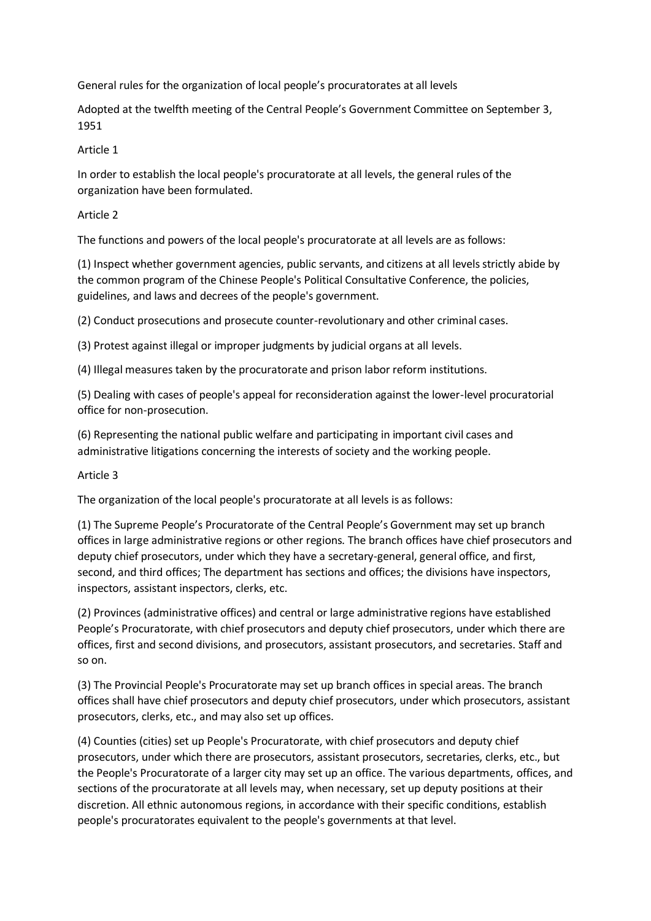General rules for the organization of local people's procuratorates at all levels

Adopted at the twelfth meeting of the Central People's Government Committee on September 3, 1951

#### Article 1

In order to establish the local people's procuratorate at all levels, the general rules of the organization have been formulated.

### Article 2

The functions and powers of the local people's procuratorate at all levels are as follows:

(1) Inspect whether government agencies, public servants, and citizens at all levels strictly abide by the common program of the Chinese People's Political Consultative Conference, the policies, guidelines, and laws and decrees of the people's government.

(2) Conduct prosecutions and prosecute counter-revolutionary and other criminal cases.

(3) Protest against illegal or improper judgments by judicial organs at all levels.

(4) Illegal measures taken by the procuratorate and prison labor reform institutions.

(5) Dealing with cases of people's appeal for reconsideration against the lower-level procuratorial office for non-prosecution.

(6) Representing the national public welfare and participating in important civil cases and administrative litigations concerning the interests of society and the working people.

# Article 3

The organization of the local people's procuratorate at all levels is as follows:

(1) The Supreme People's Procuratorate of the Central People's Government may set up branch offices in large administrative regions or other regions. The branch offices have chief prosecutors and deputy chief prosecutors, under which they have a secretary-general, general office, and first, second, and third offices; The department has sections and offices; the divisions have inspectors, inspectors, assistant inspectors, clerks, etc.

(2) Provinces (administrative offices) and central or large administrative regions have established People's Procuratorate, with chief prosecutors and deputy chief prosecutors, under which there are offices, first and second divisions, and prosecutors, assistant prosecutors, and secretaries. Staff and so on.

(3) The Provincial People's Procuratorate may set up branch offices in special areas. The branch offices shall have chief prosecutors and deputy chief prosecutors, under which prosecutors, assistant prosecutors, clerks, etc., and may also set up offices.

(4) Counties (cities) set up People's Procuratorate, with chief prosecutors and deputy chief prosecutors, under which there are prosecutors, assistant prosecutors, secretaries, clerks, etc., but the People's Procuratorate of a larger city may set up an office. The various departments, offices, and sections of the procuratorate at all levels may, when necessary, set up deputy positions at their discretion. All ethnic autonomous regions, in accordance with their specific conditions, establish people's procuratorates equivalent to the people's governments at that level.